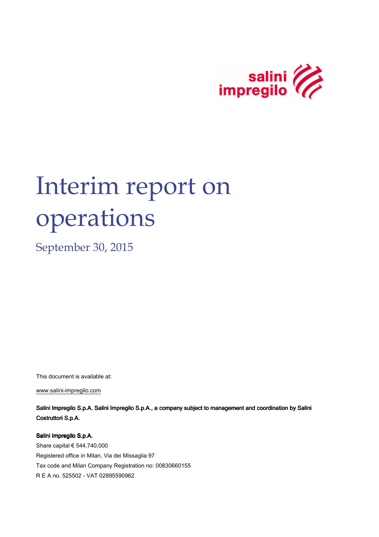

# Interim report on operations

September 30, 2015

This document is available at:

www.salini-impregilo.com

Salini Impregilo S.p.A. Salini Impregilo S.p.A., a company subject to management and coordination by Salini Costruttori S.p.A.

Salini Impregilo S.p.A.

Share capital € 544,740,000 Registered office in Milan, Via dei Missaglia 97 Tax code and Milan Company Registration no: 00830660155 R E A no. 525502 - VAT 02895590962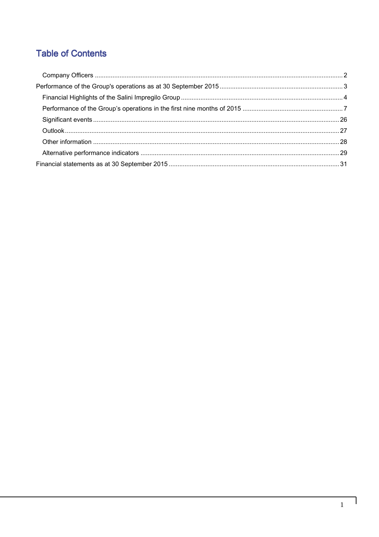## **Table of Contents**

 $\overline{\phantom{a}}$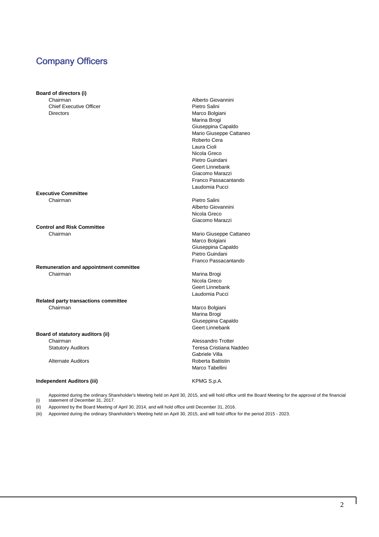### Company Officers

#### **Board of directors (i)**

Chairman **Alberto Giovannini** Chief Executive Officer **Pietro Salini** Pietro Salini Directors Marco Bolgiani

**Executive Committee** Chairman **Pietro Salini** 

**Control and Risk Committee**  Chairman Mario Giuseppe Cattaneo

**Remuneration and appointment committee** Chairman Marina Brogi

#### **Related party transactions committee**  Chairman Marco Bolgiani

#### **Board of statutory auditors (ii)**

#### **Independent Auditors (iii)** KPMG S.p.A.

 Marina Brogi Giuseppina Capaldo Mario Giuseppe Cattaneo Roberto Cera Laura Cioli Nicola Greco Pietro Guindani Geert Linnebank Giacomo Marazzi Franco Passacantando Laudomia Pucci

 Alberto Giovannini Nicola Greco Giacomo Marazzi

 Marco Bolgiani Giuseppina Capaldo Pietro Guindani Franco Passacantando

 Nicola Greco Geert Linnebank Laudomia Pucci

 Marina Brogi Giuseppina Capaldo Geert Linnebank

Chairman **Chairman** Alessandro Trotter Statutory Auditors **Teresa Cristiana Naddeo**  Gabriele Villa Alternate Auditors **Roberta** Battistin Marco Tabellini

(i) Appointed during the ordinary Shareholder's Meeting held on April 30, 2015, and will hold office until the Board Meeting for the approval of the financial statement of December 31, 2017.

(ii) Appointed by the Board Meeting of April 30, 2014, and will hold office until December 31, 2016.

(iii) Appointed during the ordinary Shareholder's Meeting held on April 30, 2015, and will hold office for the period 2015 - 2023.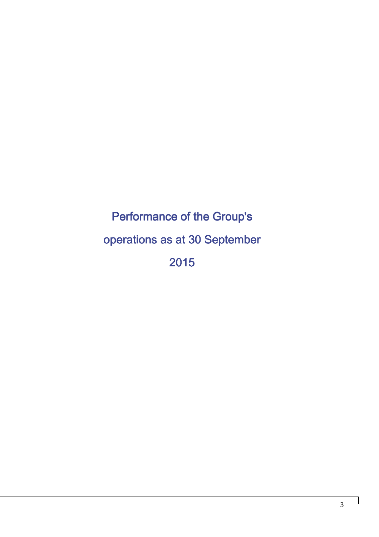## Performance of the Group's operations as at 30 September 2015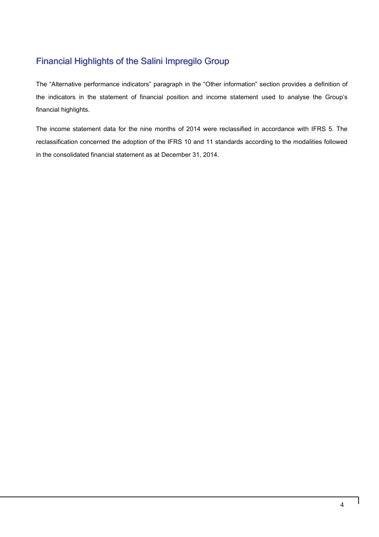### Financial Highlights of the Salini Impregilo Group

The "Alternative performance indicators" paragraph in the "Other information" section provides a definition of the indicators in the statement of financial position and income statement used to analyse the Group's financial highlights.

The income statement data for the nine months of 2014 were reclassified in accordance with IFRS 5. The reclassification concerned the adoption of the IFRS 10 and 11 standards according to the modalities followed in the consolidated financial statement as at December 31, 2014.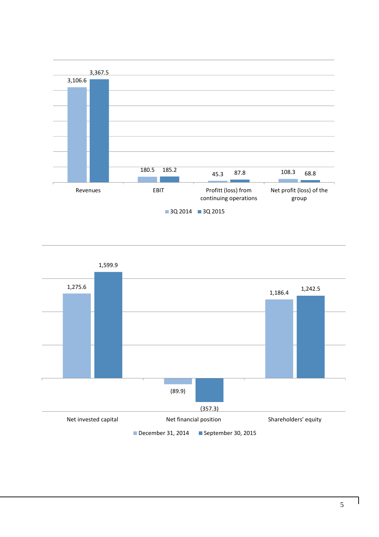

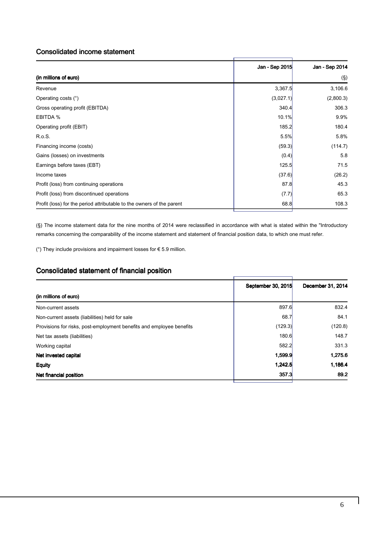### Consolidated income statement

|                                                                       | Jan - Sep 2015 | Jan - Sep 2014 |
|-----------------------------------------------------------------------|----------------|----------------|
| (in millions of euro)                                                 |                | $(\S)$         |
| Revenue                                                               | 3,367.5        | 3,106.6        |
| Operating costs (°)                                                   | (3,027.1)      | (2,800.3)      |
| Gross operating profit (EBITDA)                                       | 340.4          | 306.3          |
| EBITDA %                                                              | 10.1%          | 9.9%           |
| Operating profit (EBIT)                                               | 185.2          | 180.4          |
| R.o.S.                                                                | 5.5%           | 5.8%           |
| Financing income (costs)                                              | (59.3)         | (114.7)        |
| Gains (losses) on investments                                         | (0.4)          | 5.8            |
| Earnings before taxes (EBT)                                           | 125.5          | 71.5           |
| Income taxes                                                          | (37.6)         | (26.2)         |
| Profit (loss) from continuing operations                              | 87.8           | 45.3           |
| Profit (loss) from discontinued operations                            | (7.7)          | 65.3           |
| Profit (loss) for the period attributable to the owners of the parent | 68.8           | 108.3          |

(§) The income statement data for the nine months of 2014 were reclassified in accordance with what is stated within the "Introductory remarks concerning the comparability of the income statement and statement of financial position data, to which one must refer.

( $\degree$ ) They include provisions and impairment losses for  $\epsilon$  5.9 million.

### Consolidated statement of financial position

|                                                                      | September 30, 2015 | December 31, 2014 |
|----------------------------------------------------------------------|--------------------|-------------------|
| (in millions of euro)                                                |                    |                   |
| Non-current assets                                                   | 897.6              | 832.4             |
| Non-current assets (liabilities) held for sale                       | 68.7               | 84.1              |
| Provisions for risks, post-employment benefits and employee benefits | (129.3)            | (120.8)           |
| Net tax assets (liabilities)                                         | 180.6              | 148.7             |
| Working capital                                                      | 582.2              | 331.3             |
| Net invested capital                                                 | 1,599.9            | 1,275.6           |
| <b>Equity</b>                                                        | 1,242.5            | 1,186.4           |
| Net financial position                                               | 357.3              | 89.2              |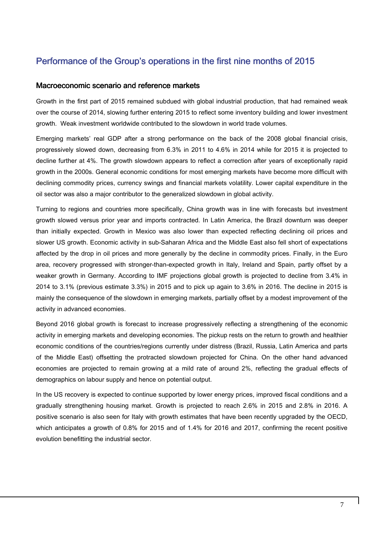### Performance of the Group's operations in the first nine months of 2015

### Macroeconomic scenario and reference markets

Growth in the first part of 2015 remained subdued with global industrial production, that had remained weak over the course of 2014, slowing further entering 2015 to reflect some inventory building and lower investment growth. Weak investment worldwide contributed to the slowdown in world trade volumes.

Emerging markets' real GDP after a strong performance on the back of the 2008 global financial crisis, progressively slowed down, decreasing from 6.3% in 2011 to 4.6% in 2014 while for 2015 it is projected to decline further at 4%. The growth slowdown appears to reflect a correction after years of exceptionally rapid growth in the 2000s. General economic conditions for most emerging markets have become more difficult with declining commodity prices, currency swings and financial markets volatility. Lower capital expenditure in the oil sector was also a major contributor to the generalized slowdown in global activity.

Turning to regions and countries more specifically, China growth was in line with forecasts but investment growth slowed versus prior year and imports contracted. In Latin America, the Brazil downturn was deeper than initially expected. Growth in Mexico was also lower than expected reflecting declining oil prices and slower US growth. Economic activity in sub-Saharan Africa and the Middle East also fell short of expectations affected by the drop in oil prices and more generally by the decline in commodity prices. Finally, in the Euro area, recovery progressed with stronger-than-expected growth in Italy, Ireland and Spain, partly offset by a weaker growth in Germany. According to IMF projections global growth is projected to decline from 3.4% in 2014 to 3.1% (previous estimate 3.3%) in 2015 and to pick up again to 3.6% in 2016. The decline in 2015 is mainly the consequence of the slowdown in emerging markets, partially offset by a modest improvement of the activity in advanced economies.

Beyond 2016 global growth is forecast to increase progressively reflecting a strengthening of the economic activity in emerging markets and developing economies. The pickup rests on the return to growth and healthier economic conditions of the countries/regions currently under distress (Brazil, Russia, Latin America and parts of the Middle East) offsetting the protracted slowdown projected for China. On the other hand advanced economies are projected to remain growing at a mild rate of around 2%, reflecting the gradual effects of demographics on labour supply and hence on potential output.

In the US recovery is expected to continue supported by lower energy prices, improved fiscal conditions and a gradually strengthening housing market. Growth is projected to reach 2.6% in 2015 and 2.8% in 2016. A positive scenario is also seen for Italy with growth estimates that have been recently upgraded by the OECD, which anticipates a growth of 0.8% for 2015 and of 1.4% for 2016 and 2017, confirming the recent positive evolution benefitting the industrial sector.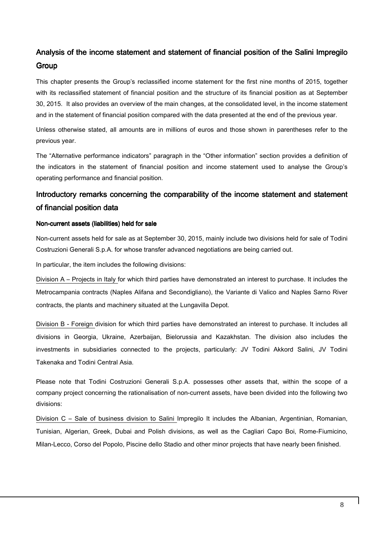### Analysis of the income statement and statement of financial position of the Salini Impregilo **Group**

This chapter presents the Group's reclassified income statement for the first nine months of 2015, together with its reclassified statement of financial position and the structure of its financial position as at September 30, 2015. It also provides an overview of the main changes, at the consolidated level, in the income statement and in the statement of financial position compared with the data presented at the end of the previous year.

Unless otherwise stated, all amounts are in millions of euros and those shown in parentheses refer to the previous year.

The "Alternative performance indicators" paragraph in the "Other information" section provides a definition of the indicators in the statement of financial position and income statement used to analyse the Group's operating performance and financial position.

### Introductory remarks concerning the comparability of the income statement and statement of financial position data

### Non-current assets (liabilities) held for sale

Non-current assets held for sale as at September 30, 2015, mainly include two divisions held for sale of Todini Costruzioni Generali S.p.A. for whose transfer advanced negotiations are being carried out.

In particular, the item includes the following divisions:

Division A – Projects in Italy for which third parties have demonstrated an interest to purchase. It includes the Metrocampania contracts (Naples Alifana and Secondigliano), the Variante di Valico and Naples Sarno River contracts, the plants and machinery situated at the Lungavilla Depot.

Division B - Foreign division for which third parties have demonstrated an interest to purchase. It includes all divisions in Georgia, Ukraine, Azerbaijan, Bielorussia and Kazakhstan. The division also includes the investments in subsidiaries connected to the projects, particularly: JV Todini Akkord Salini, JV Todini Takenaka and Todini Central Asia.

Please note that Todini Costruzioni Generali S.p.A. possesses other assets that, within the scope of a company project concerning the rationalisation of non-current assets, have been divided into the following two divisions:

Division C – Sale of business division to Salini Impregilo It includes the Albanian, Argentinian, Romanian, Tunisian, Algerian, Greek, Dubai and Polish divisions, as well as the Cagliari Capo Boi, Rome-Fiumicino, Milan-Lecco, Corso del Popolo, Piscine dello Stadio and other minor projects that have nearly been finished.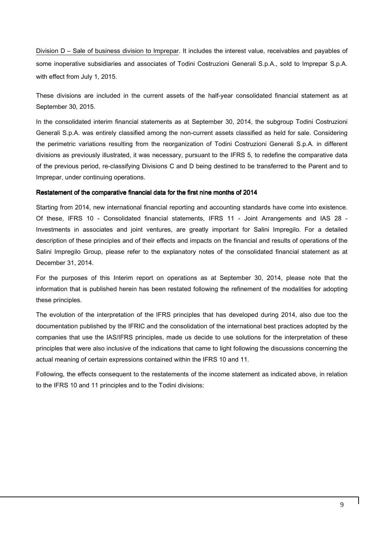Division D – Sale of business division to Imprepar. It includes the interest value, receivables and payables of some inoperative subsidiaries and associates of Todini Costruzioni Generali S.p.A., sold to Imprepar S.p.A. with effect from July 1, 2015.

These divisions are included in the current assets of the half-year consolidated financial statement as at September 30, 2015.

In the consolidated interim financial statements as at September 30, 2014, the subgroup Todini Costruzioni Generali S.p.A. was entirely classified among the non-current assets classified as held for sale. Considering the perimetric variations resulting from the reorganization of Todini Costruzioni Generali S.p.A. in different divisions as previously illustrated, it was necessary, pursuant to the IFRS 5, to redefine the comparative data of the previous period, re-classifying Divisions C and D being destined to be transferred to the Parent and to Imprepar, under continuing operations.

#### Restatement of the comparative financial data for the first nine months of 2014

Starting from 2014, new international financial reporting and accounting standards have come into existence. Of these, IFRS 10 - Consolidated financial statements, IFRS 11 - Joint Arrangements and IAS 28 - Investments in associates and joint ventures, are greatly important for Salini Impregilo. For a detailed description of these principles and of their effects and impacts on the financial and results of operations of the Salini Impregilo Group, please refer to the explanatory notes of the consolidated financial statement as at December 31, 2014.

For the purposes of this Interim report on operations as at September 30, 2014, please note that the information that is published herein has been restated following the refinement of the modalities for adopting these principles.

The evolution of the interpretation of the IFRS principles that has developed during 2014, also due too the documentation published by the IFRIC and the consolidation of the international best practices adopted by the companies that use the IAS/IFRS principles, made us decide to use solutions for the interpretation of these principles that were also inclusive of the indications that came to light following the discussions concerning the actual meaning of certain expressions contained within the IFRS 10 and 11.

Following, the effects consequent to the restatements of the income statement as indicated above, in relation to the IFRS 10 and 11 principles and to the Todini divisions: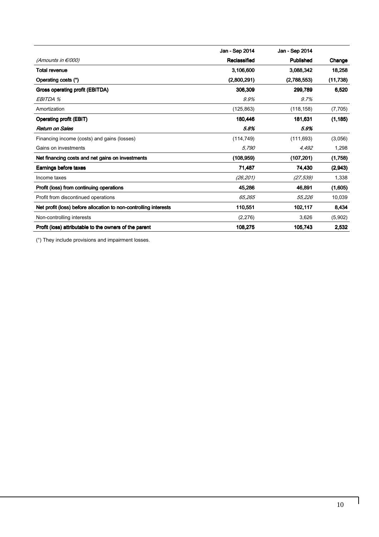|                                                                  | Jan - Sep 2014 | Jan - Sep 2014 |           |
|------------------------------------------------------------------|----------------|----------------|-----------|
| (Amounts in €/000)                                               | Reclassified   | Published      | Change    |
| <b>Total revenue</b>                                             | 3,106,600      | 3,088,342      | 18,258    |
| Operating costs (°)                                              | (2,800,291)    | (2,788,553)    | (11, 738) |
| Gross operating profit (EBITDA)                                  | 306,309        | 299.789        | 6,520     |
| EBITDA %                                                         | 9.9%           | 9.7%           |           |
| Amortization                                                     | (125, 863)     | (118, 158)     | (7, 705)  |
| <b>Operating profit (EBIT)</b>                                   | 180,446        | 181,631        | (1, 185)  |
| <b>Return on Sales</b>                                           | 5.8%           | 5.9%           |           |
| Financing income (costs) and gains (losses)                      | (114, 749)     | (111, 693)     | (3,056)   |
| Gains on investments                                             | 5,790          | 4,492          | 1,298     |
| Net financing costs and net gains on investments                 | (108, 959)     | (107, 201)     | (1,758)   |
| Earnings before taxes                                            | 71,487         | 74,430         | (2,943)   |
| Income taxes                                                     | (26, 201)      | (27, 539)      | 1,338     |
| Profit (loss) from continuing operations                         | 45,286         | 46,891         | (1,605)   |
| Profit from discontinued operations                              | 65,265         | 55,226         | 10,039    |
| Net profit (loss) before allocation to non-controlling interests | 110,551        | 102,117        | 8,434     |
| Non-controlling interests                                        | (2,276)        | 3,626          | (5,902)   |
| Profit (loss) attributable to the owners of the parent           | 108,275        | 105,743        | 2,532     |

(°) They include provisions and impairment losses.

 $\overline{\phantom{a}}$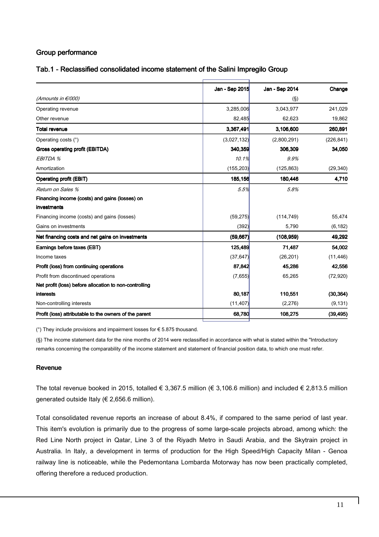### Group performance

### Tab.1 - Reclassified consolidated income statement of the Salini Impregilo Group

|                                                        | Jan - Sep 2015 | Jan - Sep 2014 | Change     |
|--------------------------------------------------------|----------------|----------------|------------|
| (Amounts in €/000)                                     |                | $(\S)$         |            |
| Operating revenue                                      | 3,285,006      | 3,043,977      | 241,029    |
| Other revenue                                          | 82,485         | 62,623         | 19,862     |
| <b>Total revenue</b>                                   | 3,367,491      | 3,106,600      | 260,891    |
| Operating costs (°)                                    | (3,027,132)    | (2,800,291)    | (226, 841) |
| Gross operating profit (EBITDA)                        | 340,359        | 306,309        | 34,050     |
| EBITDA %                                               | 10.1%          | 9.9%           |            |
| Amortization                                           | (155, 203)     | (125, 863)     | (29, 340)  |
| <b>Operating profit (EBIT)</b>                         | <b>185,156</b> | 180,446        | 4,710      |
| Return on Sales %                                      | 5.5%           | 5.8%           |            |
| Financing income (costs) and gains (losses) on         |                |                |            |
| investments                                            |                |                |            |
| Financing income (costs) and gains (losses)            | (59, 275)      | (114, 749)     | 55,474     |
| Gains on investments                                   | (392)          | 5,790          | (6, 182)   |
| Net financing costs and net gains on investments       | (59, 667)      | (108, 959)     | 49,292     |
| Earnings before taxes (EBT)                            | 125,489        | 71,487         | 54,002     |
| Income taxes                                           | (37, 647)      | (26, 201)      | (11, 446)  |
| Profit (loss) from continuing operations               | 87,842         | 45,286         | 42,556     |
| Profit from discontinued operations                    | (7,655)        | 65,265         | (72, 920)  |
| Net profit (loss) before allocation to non-controlling |                |                |            |
| interests                                              | 80,187         | 110,551        | (30, 364)  |
| Non-controlling interests                              | (11, 407)      | (2, 276)       | (9, 131)   |
| Profit (loss) attributable to the owners of the parent | 68,780         | 108,275        | (39, 495)  |
|                                                        |                |                |            |

( $\degree$ ) They include provisions and impairment losses for  $\epsilon$  5.875 thousand.

(§) The income statement data for the nine months of 2014 were reclassified in accordance with what is stated within the "Introductory remarks concerning the comparability of the income statement and statement of financial position data, to which one must refer.

### Revenue

The total revenue booked in 2015, totalled € 3,367.5 million (€ 3,106.6 million) and included € 2,813.5 million generated outside Italy (€ 2,656.6 million).

Total consolidated revenue reports an increase of about 8.4%, if compared to the same period of last year. This item's evolution is primarily due to the progress of some large-scale projects abroad, among which: the Red Line North project in Qatar, Line 3 of the Riyadh Metro in Saudi Arabia, and the Skytrain project in Australia. In Italy, a development in terms of production for the High Speed/High Capacity Milan - Genoa railway line is noticeable, while the Pedemontana Lombarda Motorway has now been practically completed, offering therefore a reduced production.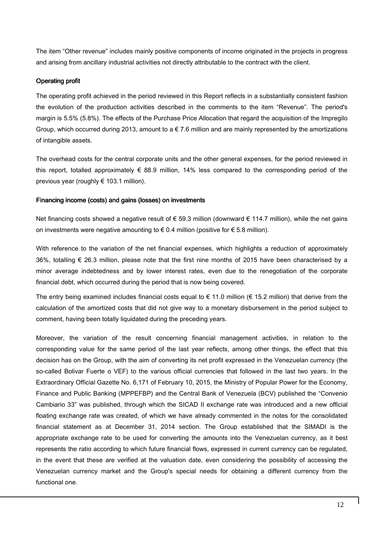The item "Other revenue" includes mainly positive components of income originated in the projects in progress and arising from ancillary industrial activities not directly attributable to the contract with the client.

#### Operating profit

The operating profit achieved in the period reviewed in this Report reflects in a substantially consistent fashion the evolution of the production activities described in the comments to the item "Revenue". The period's margin is 5.5% (5.8%). The effects of the Purchase Price Allocation that regard the acquisition of the Impregilo Group, which occurred during 2013, amount to a  $\epsilon$  7.6 million and are mainly represented by the amortizations of intangible assets.

The overhead costs for the central corporate units and the other general expenses, for the period reviewed in this report, totalled approximately € 88.9 million, 14% less compared to the corresponding period of the previous year (roughly € 103.1 million).

#### Financing income (costs) and gains (losses) on investments

Net financing costs showed a negative result of € 59.3 million (downward € 114.7 million), while the net gains on investments were negative amounting to  $\epsilon$  0.4 million (positive for  $\epsilon$  5.8 million).

With reference to the variation of the net financial expenses, which highlights a reduction of approximately 36%, totalling € 26.3 million, please note that the first nine months of 2015 have been characterised by a minor average indebtedness and by lower interest rates, even due to the renegotiation of the corporate financial debt, which occurred during the period that is now being covered.

The entry being examined includes financial costs equal to  $\epsilon$  11.0 million ( $\epsilon$  15.2 million) that derive from the calculation of the amortized costs that did not give way to a monetary disbursement in the period subject to comment, having been totally liquidated during the preceding years.

Moreover, the variation of the result concerning financial management activities, in relation to the corresponding value for the same period of the last year reflects, among other things, the effect that this decision has on the Group, with the aim of converting its net profit expressed in the Venezuelan currency (the so-called Bolivar Fuerte o VEF) to the various official currencies that followed in the last two years. In the Extraordinary Official Gazette No. 6,171 of February 10, 2015, the Ministry of Popular Power for the Economy, Finance and Public Banking (MPPEFBP) and the Central Bank of Venezuela (BCV) published the "Convenio Cambiario 33" was published, through which the SICAD II exchange rate was introduced and a new official floating exchange rate was created, of which we have already commented in the notes for the consolidated financial statement as at December 31, 2014 section. The Group established that the SIMADI is the appropriate exchange rate to be used for converting the amounts into the Venezuelan currency, as it best represents the ratio according to which future financial flows, expressed in current currency can be regulated, in the event that these are verified at the valuation date, even considering the possibility of accessing the Venezuelan currency market and the Group's special needs for obtaining a different currency from the functional one.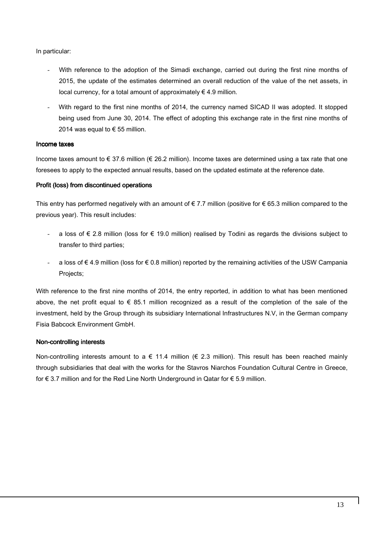In particular:

- With reference to the adoption of the Simadi exchange, carried out during the first nine months of 2015, the update of the estimates determined an overall reduction of the value of the net assets, in local currency, for a total amount of approximately  $\in$  4.9 million.
- With regard to the first nine months of 2014, the currency named SICAD II was adopted. It stopped being used from June 30, 2014. The effect of adopting this exchange rate in the first nine months of 2014 was equal to  $\epsilon$  55 million.

#### Income taxes

Income taxes amount to € 37.6 million (€ 26.2 million). Income taxes are determined using a tax rate that one foresees to apply to the expected annual results, based on the updated estimate at the reference date.

#### Profit (loss) from discontinued operations

This entry has performed negatively with an amount of  $\epsilon$  7.7 million (positive for  $\epsilon$  65.3 million compared to the previous year). This result includes:

- a loss of € 2.8 million (loss for € 19.0 million) realised by Todini as regards the divisions subject to transfer to third parties;
- a loss of € 4.9 million (loss for € 0.8 million) reported by the remaining activities of the USW Campania Projects;

With reference to the first nine months of 2014, the entry reported, in addition to what has been mentioned above, the net profit equal to € 85.1 million recognized as a result of the completion of the sale of the investment, held by the Group through its subsidiary International Infrastructures N.V, in the German company Fisia Babcock Environment GmbH.

### Non-controlling interests

Non-controlling interests amount to a  $\epsilon$  11.4 million ( $\epsilon$  2.3 million). This result has been reached mainly through subsidiaries that deal with the works for the Stavros Niarchos Foundation Cultural Centre in Greece, for € 3.7 million and for the Red Line North Underground in Qatar for € 5.9 million.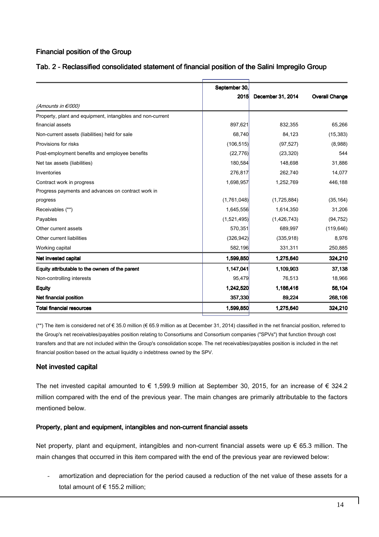### Financial position of the Group

|                                                            | September 30, |                   |                       |
|------------------------------------------------------------|---------------|-------------------|-----------------------|
|                                                            | 2015          | December 31, 2014 | <b>Overall Change</b> |
| (Amounts in €/000)                                         |               |                   |                       |
| Property, plant and equipment, intangibles and non-current |               |                   |                       |
| financial assets                                           | 897,621       | 832,355           | 65,266                |
| Non-current assets (liabilities) held for sale             | 68,740        | 84,123            | (15, 383)             |
| Provisions for risks                                       | (106, 515)    | (97, 527)         | (8,988)               |
| Post-employment benefits and employee benefits             | (22, 776)     | (23, 320)         | 544                   |
| Net tax assets (liabilities)                               | 180,584       | 148,698           | 31,886                |
| Inventories                                                | 276,817       | 262,740           | 14,077                |
| Contract work in progress                                  | 1,698,957     | 1,252,769         | 446,188               |
| Progress payments and advances on contract work in         |               |                   |                       |
| progress                                                   | (1,761,048)   | (1,725,884)       | (35, 164)             |
| Receivables (**)                                           | 1,645,556     | 1,614,350         | 31,206                |
| Payables                                                   | (1,521,495)   | (1,426,743)       | (94, 752)             |
| Other current assets                                       | 570,351       | 689,997           | (119, 646)            |
| Other current liabilities                                  | (326, 942)    | (335, 918)        | 8,976                 |
| Working capital                                            | 582,196       | 331,311           | 250,885               |
| Net invested capital                                       | 1,599,850     | 1,275,640         | 324,210               |
| Equity attributable to the owners of the parent            | 1,147,041     | 1,109,903         | 37,138                |
| Non-controlling interests                                  | 95,479        | 76,513            | 18,966                |
| <b>Equity</b>                                              | 1,242,520     | 1,186,416         | 56,104                |
| Net financial position                                     | 357,330       | 89,224            | 268,106               |
| <b>Total financial resources</b>                           | 1,599,850     | 1,275,640         | 324,210               |

### Tab. 2 - Reclassified consolidated statement of financial position of the Salini Impregilo Group

(\*\*) The item is considered net of € 35.0 million (€ 65.9 million as at December 31, 2014) classified in the net financial position, referred to the Group's net receivables/payables position relating to Consortiums and Consortium companies ("SPVs") that function through cost transfers and that are not included within the Group's consolidation scope. The net receivables/payables position is included in the net financial position based on the actual liquidity o indebtness owned by the SPV.

### Net invested capital

The net invested capital amounted to  $\epsilon$  1,599.9 million at September 30, 2015, for an increase of  $\epsilon$  324.2 million compared with the end of the previous year. The main changes are primarily attributable to the factors mentioned below.

### Property, plant and equipment, intangibles and non-current financial assets

Net property, plant and equipment, intangibles and non-current financial assets were up  $\epsilon$  65.3 million. The main changes that occurred in this item compared with the end of the previous year are reviewed below:

amortization and depreciation for the period caused a reduction of the net value of these assets for a total amount of € 155.2 million;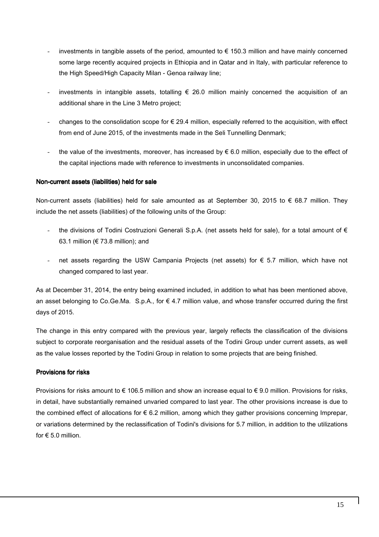- investments in tangible assets of the period, amounted to  $\epsilon$  150.3 million and have mainly concerned some large recently acquired projects in Ethiopia and in Qatar and in Italy, with particular reference to the High Speed/High Capacity Milan - Genoa railway line;
- investments in intangible assets, totalling  $\epsilon$  26.0 million mainly concerned the acquisition of an additional share in the Line 3 Metro project;
- changes to the consolidation scope for  $\epsilon$  29.4 million, especially referred to the acquisition, with effect from end of June 2015, of the investments made in the Seli Tunnelling Denmark;
- the value of the investments, moreover, has increased by  $\epsilon$  6.0 million, especially due to the effect of the capital injections made with reference to investments in unconsolidated companies.

### Non-current assets (liabilities) held for sale

Non-current assets (liabilities) held for sale amounted as at September 30, 2015 to  $\epsilon$  68.7 million. They include the net assets (liabilities) of the following units of the Group:

- the divisions of Todini Costruzioni Generali S.p.A. (net assets held for sale), for a total amount of  $\epsilon$ 63.1 million (€ 73.8 million); and
- net assets regarding the USW Campania Projects (net assets) for  $\epsilon$  5.7 million, which have not changed compared to last year.

As at December 31, 2014, the entry being examined included, in addition to what has been mentioned above, an asset belonging to Co.Ge.Ma. S.p.A., for  $\epsilon$  4.7 million value, and whose transfer occurred during the first days of 2015.

The change in this entry compared with the previous year, largely reflects the classification of the divisions subject to corporate reorganisation and the residual assets of the Todini Group under current assets, as well as the value losses reported by the Todini Group in relation to some projects that are being finished.

### Provisions for risks

Provisions for risks amount to  $\epsilon$  106.5 million and show an increase equal to  $\epsilon$  9.0 million. Provisions for risks, in detail, have substantially remained unvaried compared to last year. The other provisions increase is due to the combined effect of allocations for  $\epsilon$  6.2 million, among which they gather provisions concerning Imprepar, or variations determined by the reclassification of Todini's divisions for 5.7 million, in addition to the utilizations for  $\epsilon$  5.0 million.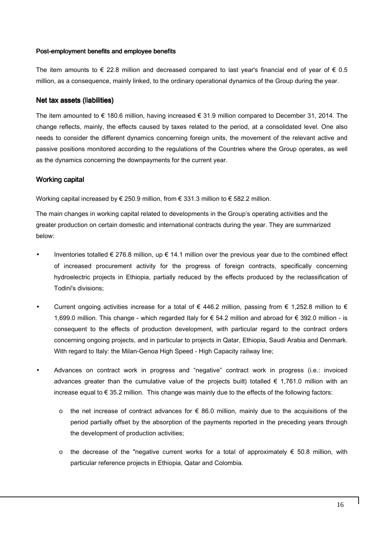#### Post-employment benefits and employee benefits

The item amounts to  $\epsilon$  22.8 million and decreased compared to last year's financial end of year of  $\epsilon$  0.5 million, as a consequence, mainly linked, to the ordinary operational dynamics of the Group during the year.

### Net tax assets (liabilities)

The item amounted to  $\epsilon$  180.6 million, having increased  $\epsilon$  31.9 million compared to December 31, 2014. The change reflects, mainly, the effects caused by taxes related to the period, at a consolidated level. One also needs to consider the different dynamics concerning foreign units, the movement of the relevant active and passive positions monitored according to the regulations of the Countries where the Group operates, as well as the dynamics concerning the downpayments for the current year.

### Working capital

Working capital increased by  $\epsilon$  250.9 million, from  $\epsilon$  331.3 million to  $\epsilon$  582.2 million.

The main changes in working capital related to developments in the Group's operating activities and the greater production on certain domestic and international contracts during the year. They are summarized below:

- Inventories totalled  $\epsilon$  276.8 million, up  $\epsilon$  14.1 million over the previous year due to the combined effect of increased procurement activity for the progress of foreign contracts, specifically concerning hydroelectric projects in Ethiopia, partially reduced by the effects produced by the reclassification of Todini's divisions;
- Current ongoing activities increase for a total of  $\epsilon$  446.2 million, passing from  $\epsilon$  1,252.8 million to  $\epsilon$ 1,699.0 million. This change - which regarded Italy for € 54.2 million and abroad for € 392.0 million - is consequent to the effects of production development, with particular regard to the contract orders concerning ongoing projects, and in particular to projects in Qatar, Ethiopia, Saudi Arabia and Denmark. With regard to Italy: the Milan-Genoa High Speed - High Capacity railway line;
- Advances on contract work in progress and "negative" contract work in progress (i.e.: invoiced advances greater than the cumulative value of the projects built) totalled  $\epsilon$  1,761.0 million with an increase equal to € 35.2 million. This change was mainly due to the effects of the following factors:
	- o the net increase of contract advances for  $\epsilon$  86.0 million, mainly due to the acquisitions of the period partially offset by the absorption of the payments reported in the preceding years through the development of production activities;
	- $\circ$  the decrease of the "negative current works for a total of approximately € 50.8 million, with particular reference projects in Ethiopia, Qatar and Colombia.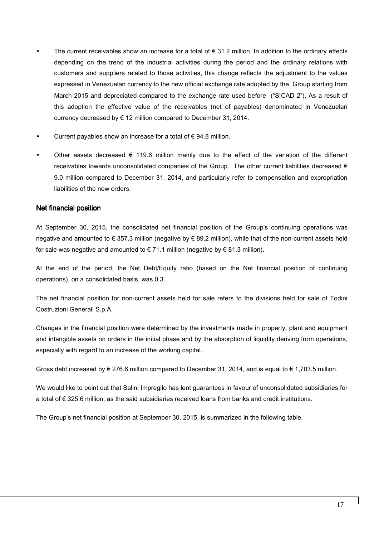- The current receivables show an increase for a total of  $\epsilon$  31.2 million. In addition to the ordinary effects depending on the trend of the industrial activities during the period and the ordinary relations with customers and suppliers related to those activities, this change reflects the adjustment to the values expressed in Venezuelan currency to the new official exchange rate adopted by the Group starting from March 2015 and depreciated compared to the exchange rate used before ("SICAD 2"). As a result of this adoption the effective value of the receivables (net of payables) denominated in Venezuelan currency decreased by  $\epsilon$  12 million compared to December 31, 2014.
- Current payables show an increase for a total of  $\epsilon$  94.8 million.
- Other assets decreased  $\epsilon$  119.6 million mainly due to the effect of the variation of the different receivables towards unconsolidated companies of the Group. The other current liabilities decreased  $\epsilon$ 9.0 million compared to December 31, 2014, and particularly refer to compensation and expropriation liabilities of the new orders.

### Net financial position

At September 30, 2015, the consolidated net financial position of the Group's continuing operations was negative and amounted to € 357.3 million (negative by € 89.2 million), while that of the non-current assets held for sale was negative and amounted to  $\in 71.1$  million (negative by  $\in 81.3$  million).

At the end of the period, the Net Debt/Equity ratio (based on the Net financial position of continuing operations), on a consolidated basis, was 0.3.

The net financial position for non-current assets held for sale refers to the divisions held for sale of Todini Costruzioni Generali S.p.A.

Changes in the financial position were determined by the investments made in property, plant and equipment and intangible assets on orders in the initial phase and by the absorption of liquidity deriving from operations, especially with regard to an increase of the working capital.

Gross debt increased by  $\epsilon$  276.6 million compared to December 31, 2014, and is equal to  $\epsilon$  1.703.5 million.

We would like to point out that Salini Impregilo has lent guarantees in favour of unconsolidated subsidiaries for a total of € 325.6 million, as the said subsidiaries received loans from banks and credit institutions.

The Group's net financial position at September 30, 2015, is summarized in the following table.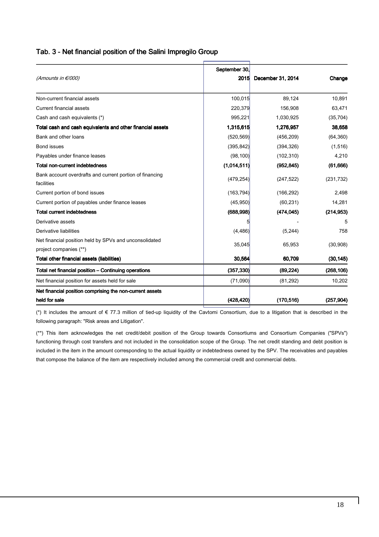### Tab. 3 - Net financial position of the Salini Impregilo Group

|                                                            | September 30, |                   |            |
|------------------------------------------------------------|---------------|-------------------|------------|
| (Amounts in €/000)                                         | 2015          | December 31, 2014 | Change     |
| Non-current financial assets                               | 100,015       | 89,124            | 10,891     |
| <b>Current financial assets</b>                            | 220,379       | 156,908           | 63,471     |
| Cash and cash equivalents (*)                              | 995,221       | 1,030,925         | (35, 704)  |
| Total cash and cash equivalents and other financial assets | 1,315,615     | 1,276,957         | 38,658     |
| Bank and other loans                                       | (520, 569)    | (456, 209)        | (64, 360)  |
| <b>Bond issues</b>                                         | (395, 842)    | (394, 326)        | (1, 516)   |
| Payables under finance leases                              | (98, 100)     | (102, 310)        | 4,210      |
| <b>Total non-current indebtedness</b>                      | (1,014,511)   | (952, 845)        | (61,666)   |
| Bank account overdrafts and current portion of financing   |               |                   |            |
| facilities                                                 | (479, 254)    | (247, 522)        | (231, 732) |
| Current portion of bond issues                             | (163, 794)    | (166, 292)        | 2,498      |
| Current portion of payables under finance leases           | (45,950)      | (60, 231)         | 14,281     |
| <b>Total current indebtedness</b>                          | (688, 998)    | (474, 045)        | (214, 953) |
| Derivative assets                                          |               |                   |            |
| Derivative liabilities                                     | (4, 486)      | (5, 244)          | 758        |
| Net financial position held by SPVs and unconsolidated     |               |                   |            |
| project companies (**)                                     | 35,045        | 65,953            | (30,908)   |
| Total other financial assets (liabilities)                 | 30,564        | 60,709            | (30, 145)  |
| Total net financial position - Continuing operations       | (357, 330)    | (89, 224)         | (268, 106) |
| Net financial position for assets held for sale            | (71,090)      | (81, 292)         | 10,202     |
| Net financial position comprising the non-current assets   |               |                   |            |
| held for sale                                              | (428, 420)    | (170, 516)        | (257, 904) |
|                                                            |               |                   |            |

 (\*) It includes the amount of € 77.3 million of tied-up liquidity of the Cavtomi Consortium, due to a litigation that is described in the following paragraph: "Risk areas and Litigation".

 (\*\*) This item acknowledges the net credit/debit position of the Group towards Consortiums and Consortium Companies ("SPVs") functioning through cost transfers and not included in the consolidation scope of the Group. The net credit standing and debt position is included in the item in the amount corresponding to the actual liquidity or indebtedness owned by the SPV. The receivables and payables that compose the balance of the item are respectively included among the commercial credit and commercial debts.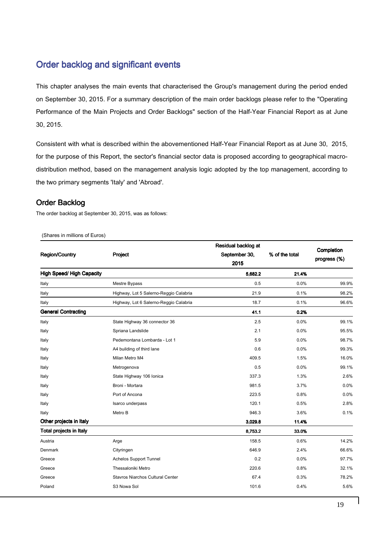### Order backlog and significant events

This chapter analyses the main events that characterised the Group's management during the period ended on September 30, 2015. For a summary description of the main order backlogs please refer to the "Operating Performance of the Main Projects and Order Backlogs" section of the Half-Year Financial Report as at June 30, 2015.

Consistent with what is described within the abovementioned Half-Year Financial Report as at June 30, 2015, for the purpose of this Report, the sector's financial sector data is proposed according to geographical macrodistribution method, based on the management analysis logic adopted by the top management, according to the two primary segments 'Italy' and 'Abroad'.

### Order Backlog

The order backlog at September 30, 2015, was as follows:

| (Shares in millions of Euros) |  |  |  |  |  |
|-------------------------------|--|--|--|--|--|
|-------------------------------|--|--|--|--|--|

| <b>Region/Country</b><br>Project |                                         | Residual backlog at<br>September 30,<br>2015 | % of the total | Completion<br>progress (%) |
|----------------------------------|-----------------------------------------|----------------------------------------------|----------------|----------------------------|
| <b>High Speed/ High Capacity</b> |                                         | 5,682.2                                      | 21.4%          |                            |
| Italy                            | Mestre Bypass                           | 0.5                                          | 0.0%           | 99.9%                      |
| Italy                            | Highway, Lot 5 Salerno-Reggio Calabria  | 21.9                                         | 0.1%           | 98.2%                      |
| Italy                            | Highway, Lot 6 Salerno-Reggio Calabria  | 18.7                                         | 0.1%           | 96.6%                      |
| <b>General Contracting</b>       |                                         | 41.1                                         | 0.2%           |                            |
| Italy                            | State Highway 36 connector 36           | 2.5                                          | 0.0%           | 99.1%                      |
| Italy                            | Spriana Landslide                       | 2.1                                          | 0.0%           | 95.5%                      |
| Italy                            | Pedemontana Lombarda - Lot 1            | 5.9                                          | 0.0%           | 98.7%                      |
| Italy                            | A4 building of third lane               | 0.6                                          | 0.0%           | 99.3%                      |
| Italy                            | Milan Metro M4                          | 409.5                                        | 1.5%           | 16.0%                      |
| Italy                            | Metrogenova                             | 0.5                                          | 0.0%           | 99.1%                      |
| Italy                            | State Highway 106 Ionica                | 337.3                                        | 1.3%           | 2.6%                       |
| Italy                            | Broni - Mortara                         | 981.5                                        | 3.7%           | 0.0%                       |
| Italy                            | Port of Ancona                          | 223.5                                        | 0.8%           | 0.0%                       |
| Italy                            | Isarco underpass                        | 120.1                                        | 0.5%           | 2.8%                       |
| Italy                            | Metro B                                 | 946.3                                        | 3.6%           | 0.1%                       |
| Other projects in Italy          |                                         | 3,029.8                                      | 11.4%          |                            |
| Total projects in Italy          |                                         | 8,753.2                                      | 33.0%          |                            |
| Austria                          | Arge                                    | 158.5                                        | 0.6%           | 14.2%                      |
| Denmark                          | Cityringen                              | 646.9                                        | 2.4%           | 66.6%                      |
| Greece                           | <b>Achelos Support Tunnel</b>           | 0.2                                          | 0.0%           | 97.7%                      |
| Greece                           | Thessaloniki Metro                      | 220.6                                        | 0.8%           | 32.1%                      |
| Greece                           | <b>Stavros Niarchos Cultural Center</b> | 67.4                                         | 0.3%           | 78.2%                      |
| Poland                           | S3 Nowa Sol                             | 101.6                                        | 0.4%           | 5.6%                       |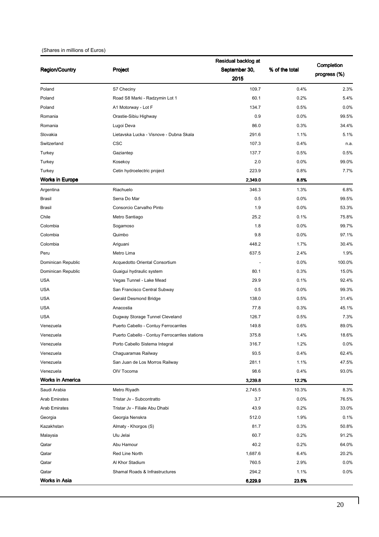#### (Shares in millions of Euros)

|                         |                                                | Residual backlog at |                |              |
|-------------------------|------------------------------------------------|---------------------|----------------|--------------|
| <b>Region/Country</b>   | Project                                        | September 30,       | % of the total | Completion   |
|                         |                                                | 2015                |                | progress (%) |
| Poland                  | S7 Checiny                                     | 109.7               | 0.4%           | 2.3%         |
| Poland                  | Road S8 Marki - Radzymin Lot 1                 | 60.1                | 0.2%           | 5.4%         |
| Poland                  | A1 Motorway - Lot F                            | 134.7               | 0.5%           | 0.0%         |
| Romania                 | Orastie-Sibiu Highway                          | 0.9                 | 0.0%           | 99.5%        |
| Romania                 | Lugoi Deva                                     | 86.0                | 0.3%           | 34.4%        |
| Slovakia                | Lietavska Lucka - Visnove - Dubna Skala        | 291.6               | 1.1%           | 5.1%         |
| Switzerland             | <b>CSC</b>                                     | 107.3               | 0.4%           | n.a.         |
| Turkey                  | Gaziantep                                      | 137.7               | 0.5%           | 0.5%         |
| Turkey                  | Kosekoy                                        | 2.0                 | 0.0%           | 99.0%        |
| Turkey                  | Cetin hydroelectric project                    | 223.9               | 0.8%           | 7.7%         |
| <b>Works in Europe</b>  |                                                | 2,349.0             | 8.8%           |              |
| Argentina               | Riachuelo                                      | 346.3               | 1.3%           | 6.8%         |
| <b>Brasil</b>           | Serra Do Mar                                   | 0.5                 | 0.0%           | 99.5%        |
| <b>Brasil</b>           | Consorcio Carvalho Pinto                       | 1.9                 | 0.0%           | 53.3%        |
| Chile                   | Metro Santiago                                 | 25.2                | 0.1%           | 75.8%        |
| Colombia                | Sogamoso                                       | 1.8                 | 0.0%           | 99.7%        |
| Colombia                | Quimbo                                         | 9.8                 | 0.0%           | 97.1%        |
| Colombia                | Ariguani                                       | 448.2               | 1.7%           | 30.4%        |
| Peru                    | Metro Lima                                     | 637.5               | 2.4%           | 1.9%         |
| Dominican Republic      | Acquedotto Oriental Consortium                 |                     | 0.0%           | 100.0%       |
| Dominican Republic      | Guaigui hydraulic system                       | 80.1                | 0.3%           | 15.0%        |
| <b>USA</b>              | Vegas Tunnel - Lake Mead                       | 29.9                | 0.1%           | 92.4%        |
| <b>USA</b>              | San Francisco Central Subway                   | 0.5                 | 0.0%           | 99.3%        |
| <b>USA</b>              | Gerald Desmond Bridge                          | 138.0               | 0.5%           | 31.4%        |
| <b>USA</b>              | Anacostia                                      | 77.8                | 0.3%           | 45.1%        |
| <b>USA</b>              | Dugway Storage Tunnel Cleveland                | 126.7               | 0.5%           | 7.3%         |
| Venezuela               | Puerto Cabello - Contuy Ferrocarriles          | 149.8               | 0.6%           | 89.0%        |
| Venezuela               | Puerto Cabello - Contuy Ferrocarriles stations | 375.8               | 1.4%           | 18.6%        |
| Venezuela               | Porto Cabello Sistema Integral                 | 316.7               | 1.2%           | 0.0%         |
| Venezuela               | Chaguaramas Railway                            | 93.5                | 0.4%           | 62.4%        |
| Venezuela               | San Juan de Los Morros Railway                 | 281.1               | 1.1%           | 47.5%        |
| Venezuela               | OIV Tocoma                                     | 98.6                | 0.4%           | 93.0%        |
| <b>Works in America</b> |                                                | 3,239.8             | 12.2%          |              |
| Saudi Arabia            | Metro Riyadh                                   | 2,745.5             | 10.3%          | 8.3%         |
| <b>Arab Emirates</b>    | Tristar Jv - Subcontratto                      | 3.7                 | 0.0%           | 76.5%        |
| <b>Arab Emirates</b>    | Tristar Jv - Filiale Abu Dhabi                 | 43.9                | 0.2%           | 33.0%        |
| Georgia                 | Georgia Nenskra                                | 512.0               | 1.9%           | 0.1%         |
| Kazakhstan              | Almaty - Khorgos (S)                           | 81.7                | 0.3%           | 50.8%        |
| Malaysia                | Ulu Jelai                                      | 60.7                | 0.2%           | 91.2%        |
| Qatar                   | Abu Hamour                                     | 40.2                | 0.2%           | 64.0%        |
| Qatar                   | Red Line North                                 | 1,687.6             | 6.4%           | 20.2%        |
| Qatar                   | Al Khor Stadium                                | 760.5               | 2.9%           | 0.0%         |
| Qatar                   | Shamal Roads & Infrastructures                 | 294.2               | 1.1%           | 0.0%         |
| Works in Asia           |                                                | 6,229.9             | 23.5%          |              |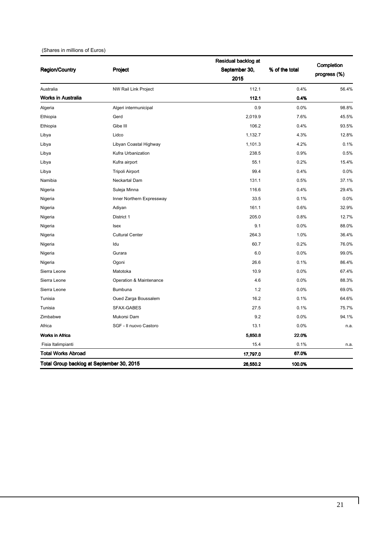#### (Shares in millions of Euros)

|                                           |                           | Residual backlog at |                |                            |  |
|-------------------------------------------|---------------------------|---------------------|----------------|----------------------------|--|
| <b>Region/Country</b>                     | Project                   | September 30,       | % of the total | Completion<br>progress (%) |  |
|                                           |                           | 2015                |                |                            |  |
| Australia                                 | NW Rail Link Project      | 112.1               | 0.4%           | 56.4%                      |  |
| <b>Works in Australia</b>                 |                           | 112.1               | 0.4%           |                            |  |
| Algeria                                   | Algeri intermunicipal     | 0.9                 | 0.0%           | 98.8%                      |  |
| Ethiopia                                  | Gerd                      | 2,019.9             | 7.6%           | 45.5%                      |  |
| Ethiopia                                  | Gibe III                  | 106.2               | 0.4%           | 93.5%                      |  |
| Libya                                     | Lidco                     | 1.132.7             | 4.3%           | 12.8%                      |  |
| Libya                                     | Libyan Coastal Highway    | 1,101.3             | 4.2%           | 0.1%                       |  |
| Libya                                     | Kufra Urbanization        | 238.5               | 0.9%           | 0.5%                       |  |
| Libya                                     | Kufra airport             | 55.1                | 0.2%           | 15.4%                      |  |
| Libya                                     | Tripoli Airport           | 99.4                | 0.4%           | 0.0%                       |  |
| Namibia                                   | Neckartal Dam             | 131.1               | 0.5%           | 37.1%                      |  |
| Nigeria                                   | Suleja Minna              | 116.6               | 0.4%           | 29.4%                      |  |
| Nigeria                                   | Inner Northern Expressway | 33.5                | 0.1%           | 0.0%                       |  |
| Nigeria                                   | Adiyan                    | 161.1               | 0.6%           | 32.9%                      |  |
| Nigeria                                   | District 1                | 205.0               | 0.8%           | 12.7%                      |  |
| Nigeria                                   | <b>Isex</b>               | 9.1                 | 0.0%           | 88.0%                      |  |
| Nigeria                                   | <b>Cultural Center</b>    | 264.3               | 1.0%           | 36.4%                      |  |
| Nigeria                                   | Idu                       | 60.7                | 0.2%           | 76.0%                      |  |
| Nigeria                                   | Gurara                    | 6.0                 | 0.0%           | 99.0%                      |  |
| Nigeria                                   | Ogoni                     | 26.6                | 0.1%           | 86.4%                      |  |
| Sierra Leone                              | Matotoka                  | 10.9                | 0.0%           | 67.4%                      |  |
| Sierra Leone                              | Operation & Maintenance   | 4.6                 | 0.0%           | 88.3%                      |  |
| Sierra Leone                              | Bumbuna                   | 1.2                 | 0.0%           | 69.0%                      |  |
| Tunisia                                   | Oued Zarga Boussalem      | 16.2                | 0.1%           | 64.6%                      |  |
| Tunisia                                   | SFAX-GABES                | 27.5                | 0.1%           | 75.7%                      |  |
| Zimbabwe                                  | Mukorsi Dam               | 9.2                 | 0.0%           | 94.1%                      |  |
| Africa                                    | SGF - Il nuovo Castoro    | 13.1                | 0.0%           | n.a.                       |  |
| <b>Works in Africa</b>                    |                           | 5,850.8             | 22.0%          |                            |  |
| Fisia Italimpianti                        |                           | 15.4                | 0.1%           | n.a.                       |  |
| <b>Total Works Abroad</b>                 |                           | 17,797.0            | 67.0%          |                            |  |
| Total Group backlog at September 30, 2015 |                           | 26,550.2            | 100.0%         |                            |  |

 $\mathbf{l}$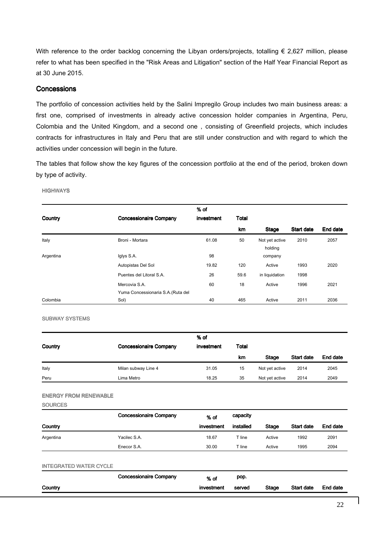With reference to the order backlog concerning the Libyan orders/projects, totalling  $\epsilon$  2,627 million, please refer to what has been specified in the "Risk Areas and Litigation" section of the Half Year Financial Report as at 30 June 2015.

### **Concessions**

The portfolio of concession activities held by the Salini Impregilo Group includes two main business areas: a first one, comprised of investments in already active concession holder companies in Argentina, Peru, Colombia and the United Kingdom, and a second one , consisting of Greenfield projects, which includes contracts for infrastructures in Italy and Peru that are still under construction and with regard to which the activities under concession will begin in the future.

The tables that follow show the key figures of the concession portfolio at the end of the period, broken down by type of activity.

**HIGHWAYS** 

|           |                                    | % of       |           |                           |            |          |
|-----------|------------------------------------|------------|-----------|---------------------------|------------|----------|
| Country   | <b>Concessionaire Company</b>      | investment | Total     |                           |            |          |
|           |                                    |            | <b>km</b> | Stage                     | Start date | End date |
| Italy     | Broni - Mortara                    | 61.08      | 50        | Not yet active<br>holding | 2010       | 2057     |
| Argentina | Iglys S.A.                         | 98         |           | company                   |            |          |
|           | Autopistas Del Sol                 | 19.82      | 120       | Active                    | 1993       | 2020     |
|           | Puentes del Litoral S.A.           | 26         | 59.6      | in liquidation            | 1998       |          |
|           | Mercovia S.A.                      | 60         | 18        | Active                    | 1996       | 2021     |
|           | Yuma Concessionaria S.A. (Ruta del |            |           |                           |            |          |
| Colombia  | Sol)                               | 40         | 465       | Active                    | 2011       | 2036     |

SUBWAY SYSTEMS

| Country | <b>Concessionaire Company</b> | % of<br>investment | Total |                |            |          |
|---------|-------------------------------|--------------------|-------|----------------|------------|----------|
|         |                               |                    | km    | Stage          | Start date | End date |
| Italy   | Milan subway Line 4           | 31.05              | 15    | Not yet active | 2014       | 2045     |
| Peru    | Lima Metro                    | 18.25              | 35    | Not yet active | 2014       | 2049     |

ENERGY FROM RENEWABLE

**SOURCES** 

|           | <b>Concessionaire Company</b> | $%$ of     | capacity    |        |            |          |
|-----------|-------------------------------|------------|-------------|--------|------------|----------|
| Country   |                               | investment | installed   | Stage  | Start date | End date |
| Argentina | Yacilec S.A.                  | 18.67      | $\tau$ line | Active | 1992       | 2091     |
|           | Enecor S.A.                   | 30.00      | $\tau$ line | Active | 1995       | 2094     |

| <b>INTEGRATED WATER CYCLE</b> |                               |            |        |              |                   |          |
|-------------------------------|-------------------------------|------------|--------|--------------|-------------------|----------|
|                               | <b>Concessionaire Company</b> | % of       | pop.   |              |                   |          |
| Country                       |                               | investment | served | <b>Stage</b> | <b>Start date</b> | End date |
|                               |                               |            |        |              |                   |          |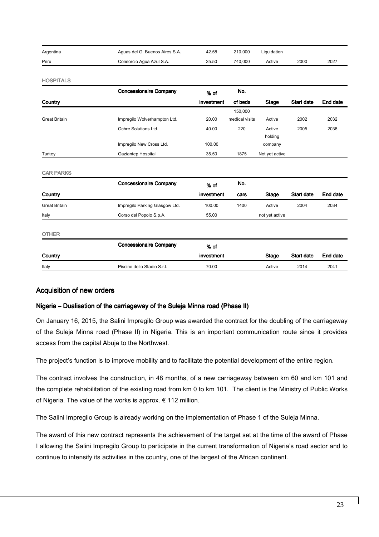| Argentina | Aguas del G. Buenos Aires S.A. | 42.58 | 210.000 | Liquidation |      |      |
|-----------|--------------------------------|-------|---------|-------------|------|------|
| Peru      | Consorcio Agua Azul S.A.       | 25.50 | 740.000 | Active      | 2000 | 2027 |

**HOSPITALS** 

| <b>Concessionaire Company</b>  | % of       | No.            |                |                   |          |
|--------------------------------|------------|----------------|----------------|-------------------|----------|
|                                | investment | of beds        | <b>Stage</b>   | <b>Start date</b> | End date |
|                                |            | 150,000        |                |                   |          |
| Impregilo Wolverhampton Ltd.   | 20.00      | medical visits | Active         | 2002              | 2032     |
| Ochre Solutions Ltd.           | 40.00      | 220            | Active         | 2005              | 2038     |
|                                |            |                | holding        |                   |          |
| Impregilo New Cross Ltd.       | 100.00     |                | company        |                   |          |
| Gaziantep Hospital             | 35.50      | 1875           | Not yet active |                   |          |
|                                |            |                |                |                   |          |
|                                |            |                |                |                   |          |
| <b>Concessionaire Company</b>  | % of       | No.            |                |                   |          |
|                                | investment | cars           | <b>Stage</b>   | <b>Start date</b> | End date |
| Impregilo Parking Glasgow Ltd. | 100.00     | 1400           | Active         | 2004              | 2034     |
| Corso del Popolo S.p.A.        | 55.00      |                | not yet active |                   |          |
|                                |            |                |                |                   |          |
|                                |            |                |                |                   |          |
| <b>Concessionaire Company</b>  | % of       |                |                |                   |          |
|                                | investment |                | <b>Stage</b>   | <b>Start date</b> | End date |
| Piscine dello Stadio S.r.l.    | 70.00      |                | Active         | 2014              | 2041     |
|                                |            |                |                |                   |          |

### Acquisition of new orders

### Nigeria – Dualisation of the carriageway of the Suleja Minna road (Phase II)

On January 16, 2015, the Salini Impregilo Group was awarded the contract for the doubling of the carriageway of the Suleja Minna road (Phase II) in Nigeria. This is an important communication route since it provides access from the capital Abuja to the Northwest.

The project's function is to improve mobility and to facilitate the potential development of the entire region.

The contract involves the construction, in 48 months, of a new carriageway between km 60 and km 101 and the complete rehabilitation of the existing road from km 0 to km 101. The client is the Ministry of Public Works of Nigeria. The value of the works is approx. € 112 million.

The Salini Impregilo Group is already working on the implementation of Phase 1 of the Suleja Minna.

The award of this new contract represents the achievement of the target set at the time of the award of Phase I allowing the Salini Impregilo Group to participate in the current transformation of Nigeria's road sector and to continue to intensify its activities in the country, one of the largest of the African continent.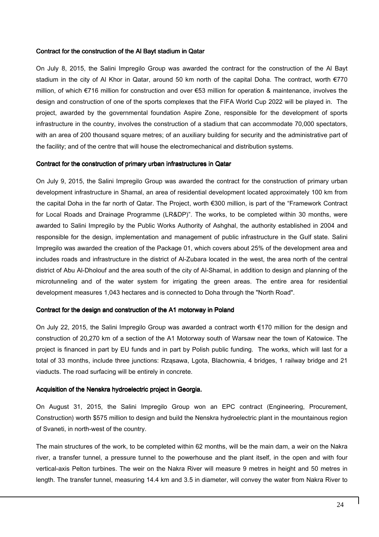#### Contract for the construction of the AI Bayt stadium in Qatar

On July 8, 2015, the Salini Impregilo Group was awarded the contract for the construction of the Al Bayt stadium in the city of Al Khor in Qatar, around 50 km north of the capital Doha. The contract, worth €770 million, of which €716 million for construction and over €53 million for operation & maintenance, involves the design and construction of one of the sports complexes that the FIFA World Cup 2022 will be played in. The project, awarded by the governmental foundation Aspire Zone, responsible for the development of sports infrastructure in the country, involves the construction of a stadium that can accommodate 70,000 spectators, with an area of 200 thousand square metres; of an auxiliary building for security and the administrative part of the facility; and of the centre that will house the electromechanical and distribution systems.

#### Contract for the construction of primary urban infrastructures in Qatar

On July 9, 2015, the Salini Impregilo Group was awarded the contract for the construction of primary urban development infrastructure in Shamal, an area of residential development located approximately 100 km from the capital Doha in the far north of Qatar. The Project, worth €300 million, is part of the "Framework Contract for Local Roads and Drainage Programme (LR&DP)". The works, to be completed within 30 months, were awarded to Salini Impregilo by the Public Works Authority of Ashghal, the authority established in 2004 and responsible for the design, implementation and management of public infrastructure in the Gulf state. Salini Impregilo was awarded the creation of the Package 01, which covers about 25% of the development area and includes roads and infrastructure in the district of Al-Zubara located in the west, the area north of the central district of Abu Al-Dholouf and the area south of the city of Al-Shamal, in addition to design and planning of the microtunneling and of the water system for irrigating the green areas. The entire area for residential development measures 1,043 hectares and is connected to Doha through the "North Road".

### Contract for the design and construction of the A1 motorway in Poland

On July 22, 2015, the Salini Impregilo Group was awarded a contract worth €170 million for the design and construction of 20,270 km of a section of the A1 Motorway south of Warsaw near the town of Katowice. The project is financed in part by EU funds and in part by Polish public funding. The works, which will last for a total of 33 months, include three junctions: Rząsawa, Lgota, Blachownia, 4 bridges, 1 railway bridge and 21 viaducts. The road surfacing will be entirely in concrete.

### Acquisition of the Nenskra hydroelectric project in Georgia.

On August 31, 2015, the Salini Impregilo Group won an EPC contract (Engineering, Procurement, Construction) worth \$575 million to design and build the Nenskra hydroelectric plant in the mountainous region of Svaneti, in north-west of the country.

The main structures of the work, to be completed within 62 months, will be the main dam, a weir on the Nakra river, a transfer tunnel, a pressure tunnel to the powerhouse and the plant itself, in the open and with four vertical-axis Pelton turbines. The weir on the Nakra River will measure 9 metres in height and 50 metres in length. The transfer tunnel, measuring 14.4 km and 3.5 in diameter, will convey the water from Nakra River to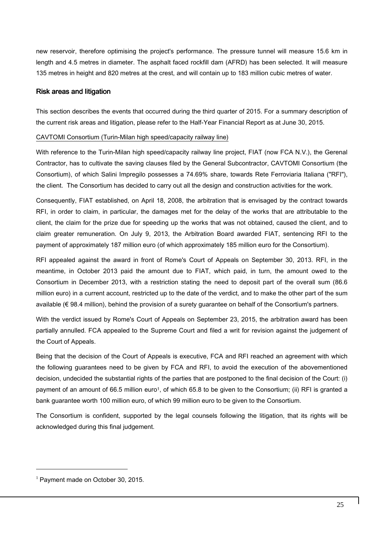new reservoir, therefore optimising the project's performance. The pressure tunnel will measure 15.6 km in length and 4.5 metres in diameter. The asphalt faced rockfill dam (AFRD) has been selected. It will measure 135 metres in height and 820 metres at the crest, and will contain up to 183 million cubic metres of water.

### Risk areas and litigation

This section describes the events that occurred during the third quarter of 2015. For a summary description of the current risk areas and litigation, please refer to the Half-Year Financial Report as at June 30, 2015.

### CAVTOMI Consortium (Turin-Milan high speed/capacity railway line)

With reference to the Turin-Milan high speed/capacity railway line project, FIAT (now FCA N.V.), the Gerenal Contractor, has to cultivate the saving clauses filed by the General Subcontractor, CAVTOMI Consortium (the Consortium), of which Salini Impregilo possesses a 74.69% share, towards Rete Ferroviaria Italiana ("RFI"), the client. The Consortium has decided to carry out all the design and construction activities for the work.

Consequently, FIAT established, on April 18, 2008, the arbitration that is envisaged by the contract towards RFI, in order to claim, in particular, the damages met for the delay of the works that are attributable to the client, the claim for the prize due for speeding up the works that was not obtained, caused the client, and to claim greater remuneration. On July 9, 2013, the Arbitration Board awarded FIAT, sentencing RFI to the payment of approximately 187 million euro (of which approximately 185 million euro for the Consortium).

RFI appealed against the award in front of Rome's Court of Appeals on September 30, 2013. RFI, in the meantime, in October 2013 paid the amount due to FIAT, which paid, in turn, the amount owed to the Consortium in December 2013, with a restriction stating the need to deposit part of the overall sum (86.6 million euro) in a current account, restricted up to the date of the verdict, and to make the other part of the sum available (€ 98.4 million), behind the provision of a surety guarantee on behalf of the Consortium's partners.

With the verdict issued by Rome's Court of Appeals on September 23, 2015, the arbitration award has been partially annulled. FCA appealed to the Supreme Court and filed a writ for revision against the judgement of the Court of Appeals.

Being that the decision of the Court of Appeals is executive, FCA and RFI reached an agreement with which the following guarantees need to be given by FCA and RFI, to avoid the execution of the abovementioned decision, undecided the substantial rights of the parties that are postponed to the final decision of the Court: (i) payment of an amount of 66.5 million euro<sup>1</sup>, of which 65.8 to be given to the Consortium; (ii) RFI is granted a bank guarantee worth 100 million euro, of which 99 million euro to be given to the Consortium.

The Consortium is confident, supported by the legal counsels following the litigation, that its rights will be acknowledged during this final judgement.

j

 $<sup>1</sup>$  Payment made on October 30, 2015.</sup>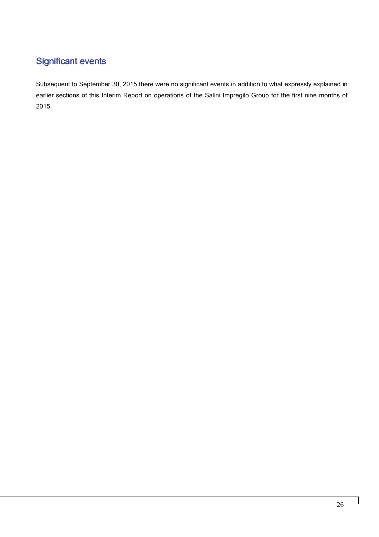## **Significant events**

Subsequent to September 30, 2015 there were no significant events in addition to what expressly explained in earlier sections of this Interim Report on operations of the Salini Impregilo Group for the first nine months of 2015.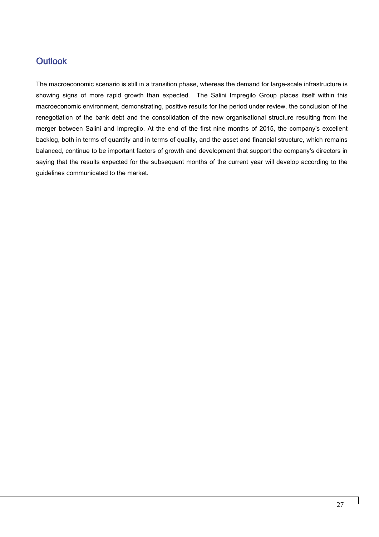### **Outlook**

The macroeconomic scenario is still in a transition phase, whereas the demand for large-scale infrastructure is showing signs of more rapid growth than expected. The Salini Impregilo Group places itself within this macroeconomic environment, demonstrating, positive results for the period under review, the conclusion of the renegotiation of the bank debt and the consolidation of the new organisational structure resulting from the merger between Salini and Impregilo. At the end of the first nine months of 2015, the company's excellent backlog, both in terms of quantity and in terms of quality, and the asset and financial structure, which remains balanced, continue to be important factors of growth and development that support the company's directors in saying that the results expected for the subsequent months of the current year will develop according to the guidelines communicated to the market.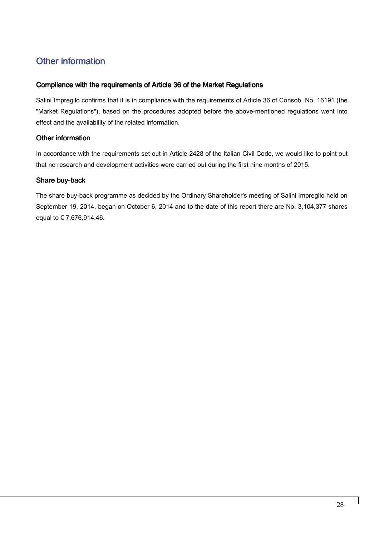### Other information

### Compliance with the requirements of Article 36 of the Market Regulations

Salini Impregilo confirms that it is in compliance with the requirements of Article 36 of Consob No. 16191 (the "Market Regulations"), based on the procedures adopted before the above-mentioned regulations went into effect and the availability of the related information.

### Other information

In accordance with the requirements set out in Article 2428 of the Italian Civil Code, we would like to point out that no research and development activities were carried out during the first nine months of 2015.

### Share buy-back

The share buy-back programme as decided by the Ordinary Shareholder's meeting of Salini Impregilo held on September 19, 2014, began on October 6, 2014 and to the date of this report there are No. 3,104,377 shares equal to € 7,676,914.46.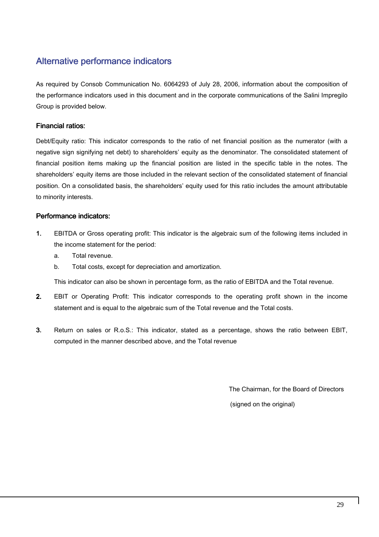### Alternative performance indicators

As required by Consob Communication No. 6064293 of July 28, 2006, information about the composition of the performance indicators used in this document and in the corporate communications of the Salini Impregilo Group is provided below.

### Financial ratios:

Debt/Equity ratio: This indicator corresponds to the ratio of net financial position as the numerator (with a negative sign signifying net debt) to shareholders' equity as the denominator. The consolidated statement of financial position items making up the financial position are listed in the specific table in the notes. The shareholders' equity items are those included in the relevant section of the consolidated statement of financial position. On a consolidated basis, the shareholders' equity used for this ratio includes the amount attributable to minority interests.

### Performance indicators:

- 1. EBITDA or Gross operating profit: This indicator is the algebraic sum of the following items included in the income statement for the period:
	- a. Total revenue.
	- b. Total costs, except for depreciation and amortization.

This indicator can also be shown in percentage form, as the ratio of EBITDA and the Total revenue.

- 2. EBIT or Operating Profit: This indicator corresponds to the operating profit shown in the income statement and is equal to the algebraic sum of the Total revenue and the Total costs.
- 3. Return on sales or R.o.S.: This indicator, stated as a percentage, shows the ratio between EBIT, computed in the manner described above, and the Total revenue

The Chairman, for the Board of Directors

(signed on the original)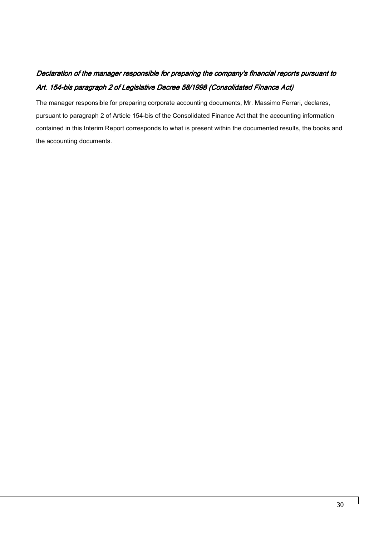### Declaration of the manager responsible for preparing the company's financial reports pursuant to Art. 154-bis paragraph 2 of Legislative Decree 58/1998 (Consolidated Finance Act)

The manager responsible for preparing corporate accounting documents, Mr. Massimo Ferrari, declares, pursuant to paragraph 2 of Article 154-bis of the Consolidated Finance Act that the accounting information contained in this Interim Report corresponds to what is present within the documented results, the books and the accounting documents.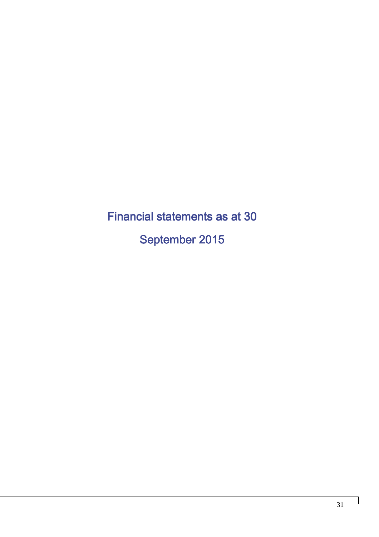Financial statements as at 30 September 2015

 $\overline{\phantom{a}}$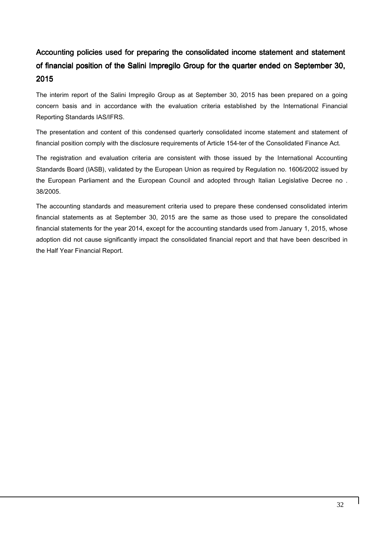### Accounting policies used for preparing the consolidated income statement and statement of financial position of the Salini Impregilo Group for the quarter ended on September 30, 2015

The interim report of the Salini Impregilo Group as at September 30, 2015 has been prepared on a going concern basis and in accordance with the evaluation criteria established by the International Financial Reporting Standards IAS/IFRS.

The presentation and content of this condensed quarterly consolidated income statement and statement of financial position comply with the disclosure requirements of Article 154-ter of the Consolidated Finance Act.

The registration and evaluation criteria are consistent with those issued by the International Accounting Standards Board (IASB), validated by the European Union as required by Regulation no. 1606/2002 issued by the European Parliament and the European Council and adopted through Italian Legislative Decree no . 38/2005.

The accounting standards and measurement criteria used to prepare these condensed consolidated interim financial statements as at September 30, 2015 are the same as those used to prepare the consolidated financial statements for the year 2014, except for the accounting standards used from January 1, 2015, whose adoption did not cause significantly impact the consolidated financial report and that have been described in the Half Year Financial Report.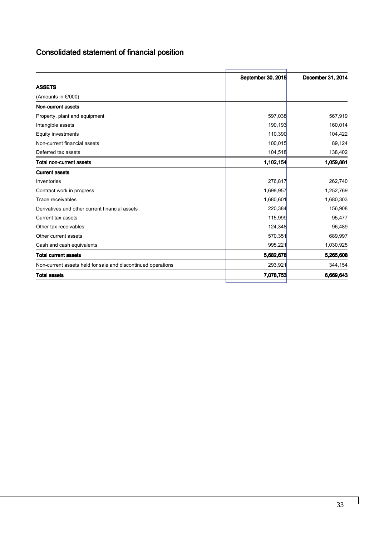### Consolidated statement of financial position

|                                                              | September 30, 2015 | December 31, 2014 |
|--------------------------------------------------------------|--------------------|-------------------|
| <b>ASSETS</b>                                                |                    |                   |
| (Amounts in $\epsilon$ /000)                                 |                    |                   |
| Non-current assets                                           |                    |                   |
| Property, plant and equipment                                | 597,038            | 567,919           |
| Intangible assets                                            | 190,193            | 160,014           |
| Equity investments                                           | 110,390            | 104,422           |
| Non-current financial assets                                 | 100,015            | 89,124            |
| Deferred tax assets                                          | 104,518            | 138,402           |
| <b>Total non-current assets</b>                              | 1,102,154          | 1,059,881         |
| <b>Current assets</b>                                        |                    |                   |
| Inventories                                                  | 276,817            | 262,740           |
| Contract work in progress                                    | 1,698,957          | 1,252,769         |
| Trade receivables                                            | 1,680,601          | 1,680,303         |
| Derivatives and other current financial assets               | 220,384            | 156,908           |
| Current tax assets                                           | 115,999            | 95,477            |
| Other tax receivables                                        | 124,348            | 96,489            |
| Other current assets                                         | 570,351            | 689,997           |
| Cash and cash equivalents                                    | 995,221            | 1,030,925         |
| <b>Total current assets</b>                                  | 5,682,678          | 5,265,608         |
| Non-current assets held for sale and discontinued operations | 293,921            | 344,154           |
| <b>Total assets</b>                                          | 7,078,753          | 6,669,643         |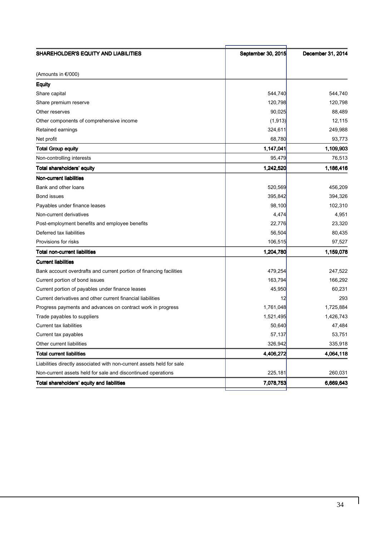| SHAREHOLDER'S EQUITY AND LIABILITIES                                  | September 30, 2015 | December 31, 2014 |
|-----------------------------------------------------------------------|--------------------|-------------------|
| (Amounts in €/000)                                                    |                    |                   |
| <b>Equity</b>                                                         |                    |                   |
| Share capital                                                         | 544,740            | 544,740           |
| Share premium reserve                                                 | 120,798            | 120,798           |
| Other reserves                                                        | 90,025             | 88,489            |
| Other components of comprehensive income                              | (1, 913)           | 12,115            |
| Retained earnings                                                     | 324,611            | 249,988           |
| Net profit                                                            | 68,780             | 93,773            |
| <b>Total Group equity</b>                                             | 1,147,041          | 1,109,903         |
| Non-controlling interests                                             | 95,479             | 76,513            |
| Total shareholders' equity                                            | 1,242,520          | 1,186,416         |
| <b>Non-current liabilities</b>                                        |                    |                   |
| Bank and other loans                                                  | 520,569            | 456,209           |
| Bond issues                                                           | 395,842            | 394,326           |
| Payables under finance leases                                         | 98,100             | 102,310           |
| Non-current derivatives                                               | 4,474              | 4,951             |
| Post-employment benefits and employee benefits                        | 22,776             | 23,320            |
| Deferred tax liabilities                                              | 56,504             | 80,435            |
| Provisions for risks                                                  | 106,515            | 97,527            |
| Total non-current liabilities                                         | 1,204,780          | 1,159,078         |
| <b>Current liabilities</b>                                            |                    |                   |
| Bank account overdrafts and current portion of financing facilities   | 479,254            | 247,522           |
| Current portion of bond issues                                        | 163,794            | 166,292           |
| Current portion of payables under finance leases                      | 45,950             | 60,231            |
| Current derivatives and other current financial liabilities           | 12                 | 293               |
| Progress payments and advances on contract work in progress           | 1,761,048          | 1,725,884         |
| Trade payables to suppliers                                           | 1,521,495          | 1,426,743         |
| Current tax liabilities                                               | 50,640             | 47,484            |
| Current tax payables                                                  | 57,137             | 53,751            |
| Other current liabilities                                             | 326,942            | 335,918           |
| <b>Total current liabilities</b>                                      | 4,406,272          | 4,064,118         |
| Liabilities directly associated with non-current assets held for sale |                    |                   |
| Non-current assets held for sale and discontinued operations          | 225,181            | 260,031           |
| Total shareholders' equity and liabilities                            | 7,078,753          | 6,669,643         |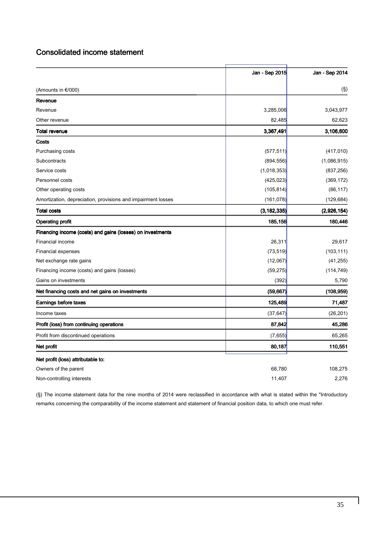### Consolidated income statement

|                                                              | Jan - Sep 2015 | Jan - Sep 2014 |
|--------------------------------------------------------------|----------------|----------------|
| (Amounts in €/000)                                           |                | $(\S)$         |
| Revenue                                                      |                |                |
| Revenue                                                      | 3,285,006      | 3,043,977      |
| Other revenue                                                | 82,485         | 62,623         |
| Total revenue                                                | 3,367,491      | 3,106,600      |
| Costs                                                        |                |                |
| Purchasing costs                                             | (577, 511)     | (417, 010)     |
| Subcontracts                                                 | (894, 556)     | (1,086,915)    |
| Service costs                                                | (1,018,353)    | (837, 256)     |
| Personnel costs                                              | (425, 023)     | (369, 172)     |
| Other operating costs                                        | (105, 814)     | (86, 117)      |
| Amortization, depreciation, provisions and impairment losses | (161, 078)     | (129, 684)     |
| <b>Total costs</b>                                           | (3, 182, 335)  | (2,926,154)    |
| <b>Operating profit</b>                                      | 185,156        | 180,446        |
| Financing income (costs) and gains (losses) on investments   |                |                |
| Financial income                                             | 26,311         | 29,617         |
| <b>Financial expenses</b>                                    | (73, 519)      | (103, 111)     |
| Net exchange rate gains                                      | (12,067)       | (41, 255)      |
| Financing income (costs) and gains (losses)                  | (59, 275)      | (114, 749)     |
| Gains on investments                                         | (392)          | 5,790          |
| Net financing costs and net gains on investments             | (59, 667)      | (108, 959)     |
| Earnings before taxes                                        | 125,489        | 71,487         |
| Income taxes                                                 | (37, 647)      | (26, 201)      |
| Profit (loss) from continuing operations                     | 87,842         | 45,286         |
| Profit from discontinued operations                          | (7,655)        | 65,265         |
| Net profit                                                   | 80,187         | 110,551        |
| Net profit (loss) attributable to:                           |                |                |
| Owners of the parent                                         | 68,780         | 108,275        |
| Non-controlling interests                                    | 11,407         | 2,276          |

(§) The income statement data for the nine months of 2014 were reclassified in accordance with what is stated within the "Introductory remarks concerning the comparability of the income statement and statement of financial position data, to which one must refer.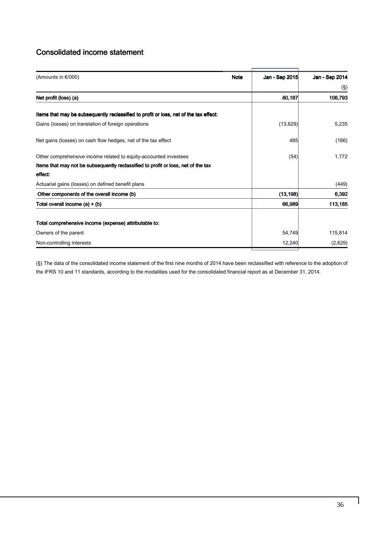### Consolidated income statement

| <b>Note</b> | Jan - Sep 2015 |                |
|-------------|----------------|----------------|
|             |                | Jan - Sep 2014 |
|             |                | (§)            |
|             | 80,187         | 106,793        |
|             |                |                |
|             | (13, 629)      | 5,235          |
|             | 485            | (166)          |
|             | (54)           | 1.772          |
|             |                |                |
|             |                |                |
|             |                | (449)          |
|             | (13, 198)      | 6,392          |
|             | 66,989         | 113,185        |
|             |                |                |
|             | 54,749         | 115,814        |
|             | 12,240         | (2,629)        |
|             |                |                |

(§) The data of the consolidated income statement of the first nine months of 2014 have been reclassified with reference to the adoption of the IFRS 10 and 11 standards, according to the modalities used for the consolidated financial report as at December 31, 2014.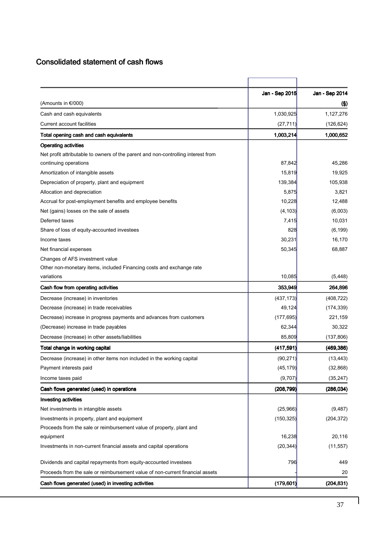### Consolidated statement of cash flows

|                                                                                   | Jan - Sep 2015 | Jan - Sep 2014      |
|-----------------------------------------------------------------------------------|----------------|---------------------|
| (Amounts in €/000)                                                                |                | $\left( \S \right)$ |
| Cash and cash equivalents                                                         | 1,030,925      | 1,127,276           |
| Current account facilities                                                        | (27, 711)      | (126, 624)          |
| Total opening cash and cash equivalents                                           | 1,003,214      | 1,000,652           |
| <b>Operating activities</b>                                                       |                |                     |
| Net profit attributable to owners of the parent and non-controlling interest from |                |                     |
| continuing operations                                                             | 87,842         | 45,286              |
| Amortization of intangible assets                                                 | 15,819         | 19,925              |
| Depreciation of property, plant and equipment                                     | 139,384        | 105,938             |
| Allocation and depreciation                                                       | 5,875          | 3,821               |
| Accrual for post-employment benefits and employee benefits                        | 10,228         | 12,488              |
| Net (gains) losses on the sale of assets                                          | (4, 103)       | (6,003)             |
| Deferred taxes                                                                    | 7,415          | 10,031              |
| Share of loss of equity-accounted investees                                       | 828            | (6, 199)            |
| Income taxes                                                                      | 30,231         | 16,170              |
| Net financial expenses                                                            | 50,345         | 68,887              |
| Changes of AFS investment value                                                   |                |                     |
| Other non-monetary items, included Financing costs and exchange rate              |                |                     |
| variations                                                                        | 10,085         | (5, 448)            |
| Cash flow from operating activities                                               | 353,949        | 264,896             |
| Decrease (increase) in inventories                                                | (437, 173)     | (408, 722)          |
| Decrease (increase) in trade receivables                                          | 49,124         | (174, 339)          |
| Decrease) increase in progress payments and advances from customers               | (177, 695)     | 221,159             |
| (Decrease) increase in trade payables                                             | 62,344         | 30,322              |
| Decrease (increase) in other assets/liabilities                                   | 85,809         | (137, 806)          |
| Total change in working capital                                                   | (417, 591)     | (469, 386)          |
| Decrease (increase) in other items non included in the working capital            | (90, 271)      | (13, 443)           |
| Payment interests paid                                                            | (45, 179)      | (32, 868)           |
| Income taxes paid                                                                 | (9,707)        | (35, 247)           |
| Cash flows generated (used) in operations                                         | (208, 799)     | (286, 034)          |
| <b>Investing activities</b>                                                       |                |                     |
| Net investments in intangible assets                                              | (25,966)       | (9, 487)            |
| Investments in property, plant and equipment                                      | (150, 325)     | (204, 372)          |
| Proceeds from the sale or reimbursement value of property, plant and              |                |                     |
| equipment                                                                         | 16,238         | 20,116              |
| Investments in non-current financial assets and capital operations                | (20, 344)      | (11, 557)           |
| Dividends and capital repayments from equity-accounted investees                  | 796            | 449                 |
| Proceeds from the sale or reimbursement value of non-current financial assets     |                | 20                  |
| Cash flows generated (used) in investing activities                               | (179, 601)     | (204, 831)          |

 $\mathbf{I}$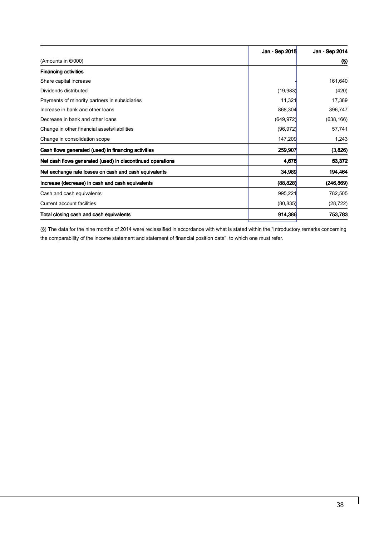|                                                            | Jan - Sep 2015 | Jan - Sep 2014 |
|------------------------------------------------------------|----------------|----------------|
| (Amounts in €/000)                                         |                | (S)            |
| <b>Financing activities</b>                                |                |                |
| Share capital increase                                     |                | 161,640        |
| Dividends distributed                                      | (19, 983)      | (420)          |
| Payments of minority partners in subsidiaries              | 11,321         | 17,389         |
| Increase in bank and other loans                           | 868,304        | 396,747        |
| Decrease in bank and other loans                           | (649, 972)     | (638, 166)     |
| Change in other financial assets/liabilities               | (96, 972)      | 57,741         |
| Change in consolidation scope                              | 147,209        | 1,243          |
| Cash flows generated (used) in financing activities        | 259,907        | (3,826)        |
| Net cash flows generated (used) in discontinued operations | 4,676          | 53,372         |
| Net exchange rate losses on cash and cash equivalents      | 34,989         | 194,464        |
| Increase (decrease) in cash and cash equivalents           | (88, 828)      | (246, 869)     |
| Cash and cash equivalents                                  | 995,221        | 782,505        |
| <b>Current account facilities</b>                          | (80, 835)      | (28, 722)      |
| Total closing cash and cash equivalents                    | 914,386        | 753,783        |

(§) The data for the nine months of 2014 were reclassified in accordance with what is stated within the "Introductory remarks concerning the comparability of the income statement and statement of financial position data", to which one must refer.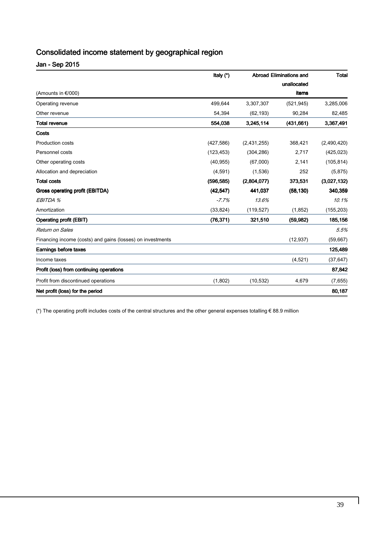### Consolidated income statement by geographical region

| Jan - Sep 2015 |
|----------------|
|----------------|

| (Amounts in $\epsilon$ /000)                               | Italy (*)  | <b>Abroad Eliminations and</b><br>unallocated |            | <b>Total</b> |
|------------------------------------------------------------|------------|-----------------------------------------------|------------|--------------|
|                                                            |            |                                               |            |              |
|                                                            |            |                                               | items      |              |
| Operating revenue                                          | 499,644    | 3,307,307                                     | (521, 945) | 3,285,006    |
| Other revenue                                              | 54,394     | (62, 193)                                     | 90,284     | 82,485       |
| <b>Total revenue</b>                                       | 554,038    | 3,245,114                                     | (431, 661) | 3,367,491    |
| Costs                                                      |            |                                               |            |              |
| <b>Production costs</b>                                    | (427, 586) | (2,431,255)                                   | 368,421    | (2,490,420)  |
| Personnel costs                                            | (123, 453) | (304, 286)                                    | 2,717      | (425, 023)   |
| Other operating costs                                      | (40, 955)  | (67,000)                                      | 2,141      | (105, 814)   |
| Allocation and depreciation                                | (4,591)    | (1,536)                                       | 252        | (5, 875)     |
| <b>Total costs</b>                                         | (596, 585) | (2,804,077)                                   | 373,531    | (3,027,132)  |
| Gross operating profit (EBITDA)                            | (42, 547)  | 441,037                                       | (58, 130)  | 340,359      |
| EBITDA %                                                   | $-7.7%$    | 13.6%                                         |            | 10.1%        |
| Amortization                                               | (33, 824)  | (119, 527)                                    | (1, 852)   | (155, 203)   |
| <b>Operating profit (EBIT)</b>                             | (76, 371)  | 321,510                                       | (59, 982)  | 185,156      |
| Return on Sales                                            |            |                                               |            | 5.5%         |
| Financing income (costs) and gains (losses) on investments |            |                                               | (12, 937)  | (59, 667)    |
| Earnings before taxes                                      |            |                                               |            | 125,489      |
| Income taxes                                               |            |                                               | (4,521)    | (37, 647)    |
| Profit (loss) from continuing operations                   |            |                                               |            | 87,842       |
| Profit from discontinued operations                        | (1,802)    | (10, 532)                                     | 4,679      | (7,655)      |
| Net profit (loss) for the period                           |            |                                               |            | 80,187       |

(\*) The operating profit includes costs of the central structures and the other general expenses totalling € 88.9 million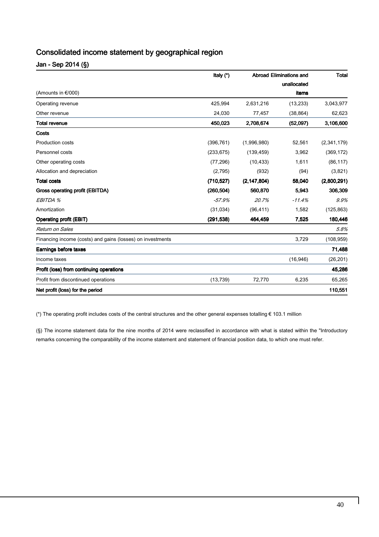### Consolidated income statement by geographical region

Jan - Sep 2014 (§)

| (Amounts in €/000)                                         | Italy (*)  | <b>Abroad Eliminations and</b><br>unallocated |           | <b>Total</b> |
|------------------------------------------------------------|------------|-----------------------------------------------|-----------|--------------|
|                                                            |            |                                               |           |              |
|                                                            |            |                                               | items     |              |
| Operating revenue                                          | 425,994    | 2,631,216                                     | (13, 233) | 3,043,977    |
| Other revenue                                              | 24,030     | 77,457                                        | (38, 864) | 62,623       |
| <b>Total revenue</b>                                       | 450,023    | 2,708,674                                     | (52,097)  | 3,106,600    |
| Costs                                                      |            |                                               |           |              |
| <b>Production costs</b>                                    | (396, 761) | (1,996,980)                                   | 52,561    | (2,341,179)  |
| Personnel costs                                            | (233, 675) | (139, 459)                                    | 3,962     | (369, 172)   |
| Other operating costs                                      | (77, 296)  | (10, 433)                                     | 1,611     | (86, 117)    |
| Allocation and depreciation                                | (2,795)    | (932)                                         | (94)      | (3,821)      |
| <b>Total costs</b>                                         | (710, 527) | (2, 147, 804)                                 | 58,040    | (2,800,291)  |
| Gross operating profit (EBITDA)                            | (260, 504) | 560,870                                       | 5,943     | 306,309      |
| EBITDA %                                                   | $-57.9%$   | 20.7%                                         | $-11.4%$  | 9.9%         |
| Amortization                                               | (31, 034)  | (96, 411)                                     | 1,582     | (125, 863)   |
| <b>Operating profit (EBIT)</b>                             | (291, 538) | 464,459                                       | 7,525     | 180,446      |
| Return on Sales                                            |            |                                               |           | 5.8%         |
| Financing income (costs) and gains (losses) on investments |            |                                               | 3,729     | (108, 959)   |
| Earnings before taxes                                      |            |                                               |           | 71,488       |
| Income taxes                                               |            |                                               | (16, 946) | (26, 201)    |
| Profit (loss) from continuing operations                   |            |                                               |           | 45,286       |
| Profit from discontinued operations                        | (13, 739)  | 72,770                                        | 6,235     | 65,265       |
| Net profit (loss) for the period                           |            |                                               |           | 110,551      |

(\*) The operating profit includes costs of the central structures and the other general expenses totalling € 103.1 million

(§) The income statement data for the nine months of 2014 were reclassified in accordance with what is stated within the "Introductory remarks concerning the comparability of the income statement and statement of financial position data, to which one must refer.